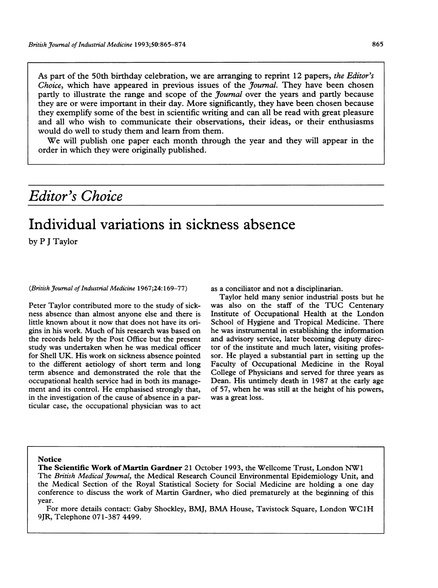As part of the 50th birthday celebration, we are arranging to reprint 12 papers, the Editor's Choice, which have appeared in previous issues of the *Journal*. They have been chosen partly to illustrate the range and scope of the *Journal* over the years and partly because they are or were important in their day. More significantly, they have been chosen because they exemplify some of the best in scientific writing and can all be read with great pleasure and all who wish to communicate their observations, their ideas, or their enthusiasms would do well to study them and learn from them.

We will publish one paper each month through the year and they will appear in the order in which they were originally published.

# Editor's Choice

## Individual variations in sickness absence

by P <sup>J</sup> Taylor

#### (British Journal of Industrial Medicine 1967;24:169-77)

Peter Taylor contributed more to the study of sickness absence than almost anyone else and there is little known about it now that does not have its origins in his work. Much of his research was based on the records held by the Post Office but the present study was undertaken when he was medical officer for Shell UK. His work on sickness absence pointed to the different aetiology of short term and long term absence and demonstrated the role that the occupational health service had in both its management and its control. He emphasised strongly that, in the investigation of the cause of absence in a particular case, the occupational physician was to act as a conciliator and not a disciplinarian.

Taylor held many senior industrial posts but he was also on the staff of the TUC Centenary Institute of Occupational Health at the London School of Hygiene and Tropical Medicine. There he was instrumental in establishing the information and advisory service, later becoming deputy director of the institute and much later, visiting professor. He played <sup>a</sup> substantial part in setting up the Faculty of Occupational Medicine in the Royal College of Physicians and served for three years as Dean. His untimely death in 1987 at the early age of 57, when he was still at the height of his powers, was a great loss.

#### **Notice**

The Scientific Work of Martin Gardner <sup>21</sup> October 1993, the Wellcome Trust, London NW1 The British Medical Journal, the Medical Research Council Environmental Epidemiology Unit, and the Medical Section of the Royal Statistical Society for Social Medicine are holding a one day conference to discuss the work of Martin Gardner, who died prematurely at the beginning of this year.

For more details contact: Gaby Shockley, BMJ, BMA House, Tavistock Square, London WC1H 9JR, Telephone 071-387 4499.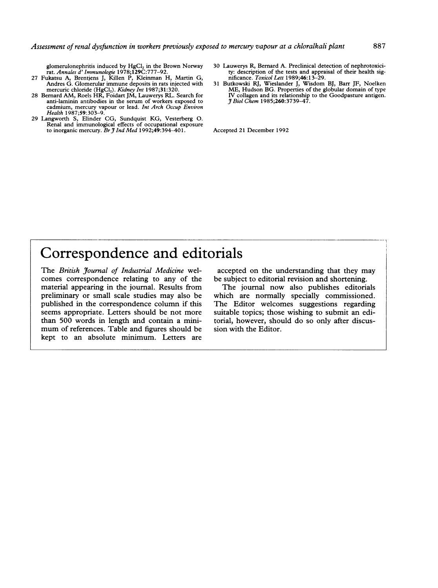887

glomerulonephritis induced by HgCl, in the Brown Norway rat. Annales d' Immunologie 1978;129C:777-92.

- 27 Fukatsu A, Brentjens J, Killen P, Kleinman H, Martin G, Andres G. Glomerular immune deposits in rats injected with mercuric chloride (HgCl<sub>2</sub>). Kidney Int 1987;31:320
- 28 Bernard AM, Roels HR, Foidart JM, Lauwerys RL. Search for anti-laminin antibodies in the serum of workers exposed to cadmium, mercury vapour or lead. *Int Arch Occup Environ*<br>*Health* 1987;**59**:303–9.
- 29 Langworth S, Elinder CG, Sundquist KG, Vesterberg 0. Renal and immunological effects of occupational exposure to inorganic mercury. BrJ Ind Med 1992;49:394-401.
- 30 Lauwerys R, Bernard A. Preclinical detection of nephrotoxicity: description of the tests and appraisal of their health significance. Toxicol Lett 1989;46:13-29.
- 31 Butkowski RJ, Wieslander J, Wisdom BJ, Barr JF, Noelken ME, Hudson BG. Properties of the globular domain of type IV collagen and its relationship to the Goodpasture antigen. JF Biol Chem 1985;260:3739-47.

Accepted 21 December 1992

# Correspondence and editorials

comes correspondence relating to any of the be subject to editorial revision and shortening.<br>material appearing in the journal. Results from The journal now also publishes editorials material appearing in the journal. Results from preliminary or small scale studies may also be which are normally specially commissioned.<br>
published in the correspondence column if this The Editor welcomes suggestions regarding published in the correspondence column if this The Editor welcomes suggestions regarding seems appropriate. Letters should be not more suitable topics; those wishing to submit an ediseems appropriate. Letters should be not more suitable topics; those wishing to submit an edi-<br>than 500 words in length and contain a mini-<br>torial, however, should do so only after discusmum of references. Table and figures should be kept to an absolute minimum. Letters are

The British Journal of Industrial Medicine wel-<br>cepted on the understanding that they may<br>comes correspondence relating to any of the be subject to editorial revision and shortening.

torial, however, should do so only after discussion with the Editor.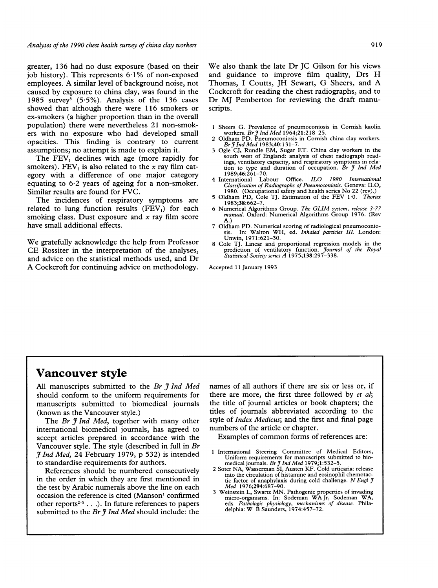greater, 136 had no dust exposure (based on their iob history). This represents  $6.1\%$  of non-exposed employees. A similar level of background noise, not caused by exposure to china clay, was found in the 1985 survey<sup>3</sup> (5.5%). Analysis of the 136 cases showed that although there were 116 smokers or ex-smokers (a higher proportion than in the overall population) there were nevertheless 21 non-smokers with no exposure who had developed small opacities. This finding is contrary to current assumptions; no attempt is made to explain it.

The  $FEV<sub>1</sub>$  declines with age (more rapidly for smokers). FEV, is also related to the x ray film category with a difference of one major category equating to 6-2 years of ageing for a non-smoker. Similar results are found for FVC.

The incidences of respiratory symptoms are related to lung function results  $(FEV_1)$  for each smoking class. Dust exposure and  $x$  ray film score have small additional effects.

We gratefully acknowledge the help from Professor CE Rossiter in the interpretation of the analyses, and advice on the statistical methods used, and Dr A Cockcroft for continuing advice on methodology.

We also thank the late Dr JC Gilson for his views and guidance to improve film quality, Drs H Thomas, <sup>I</sup> Coutts, JH Sewart, G Sheers, and A Cockcroft for reading the chest radiographs, and to Dr MJ Pemberton for reviewing the draft manuscripts.

- 1 Sheers G. Prevalence of pneumoconiosis in Cornish kaolin workers. Br J Ind Med 1964;21:218-25.
- 2 Oldham PD. Pneumoconiosis in Cornish china clay workers. Br J Ind Med 1983;40:131-7.
- <sup>3</sup> Ogle CJ, Rundle EM, Sugar ET. China clay workers in the south west of England: analysis of chest radiograph readings, ventilatory capacity, and respiratory symptoms in relation to type and duration of occupation. Br  $\tilde{J}$  Ind Med 1989;46:261-70.
- 4 International Labour Office. ILO 1980 Intemational Classification of Radiographs of Pneumoconiosis. Geneva: ILO, 1980. (Occupational safety and health series No 22 (rev).)<br>Idham PD. Cole TL Estimation of the FEV 1.0. *Thorax*
- 5 Oldham PD, Cole TJ. Estimation of the FEV  $1.0$ . 1983;38:662-7.
- <sup>6</sup> Numerical Algorithms Group. The GLIM system, release 3-77 manual. Oxford: Numerical Algorithms Group 1976. (Rev A.)
- 7 Oldham PD. Numerical scoring of radiological pneumoconiosis. In: Walton WH, ed. *Inhaled particles III*. London:<br>Unwin, 1971:621–30.
- 8 Cole TJ. Linear and proportional regression models in the prediction of ventilatory function. *Journal of the Royal*<br>Statistical Society series A 1975;138:297–338.

Accepted 11 January 1993

### Vancouver style

All manuscripts submitted to the Br  $\mathfrak{F}$  Ind Med should conform to the uniform requirements for manuscripts submitted to biomedical journals (known as the Vancouver style.)

The Br  $\tilde{\mathcal{J}}$  Ind Med, together with many other international biomedical journals, has agreed to accept articles prepared in accordance with the Vancouver style. The style (described in full in Br *I* Ind Med, 24 February 1979, p 532) is intended to standardise requirements for authors.

References should be numbered consecutively in the order in which they are first mentioned in the test by Arabic numerals above the line on each occasion the reference is cited (Manson' confirmed other reports<sup>2-5</sup> . . .). In future references to papers submitted to the Br  $\mathfrak{F}$  Ind Med should include: the

names of all authors if there are six or less or, if there are more, the first three followed by et al; the title of journal articles or book chapters; the titles of journals abbreviated according to the style of Index Medicus; and the first and final page numbers of the article or chapter.

Examples of common forms of references are:

- <sup>1</sup> International Steering Committee of Medical Editors, Uniform requirements for manuscripts submitted to biomedical journals. Br 3 Ind Med 1979;1:532-5.<br>2 Soter NA, Wasserman SI, Austen KF. Cold urticaria: release
- into the circulation of histamine and eosinophil chemotactic factor of anaphylaxis during cold challenge.  $N$  Engl  $\mathcal J$ Med 1976;294:687-90.
- <sup>3</sup> Weinstein L, Swartz MN. Pathogenic properties of invading micro-organisms. In: Sodeman WA Jr, Sodeman eds. Pathologic physiology, mechanisms of disease. Philadelphia: W <sup>B</sup> Saunders, 1974:457-72.